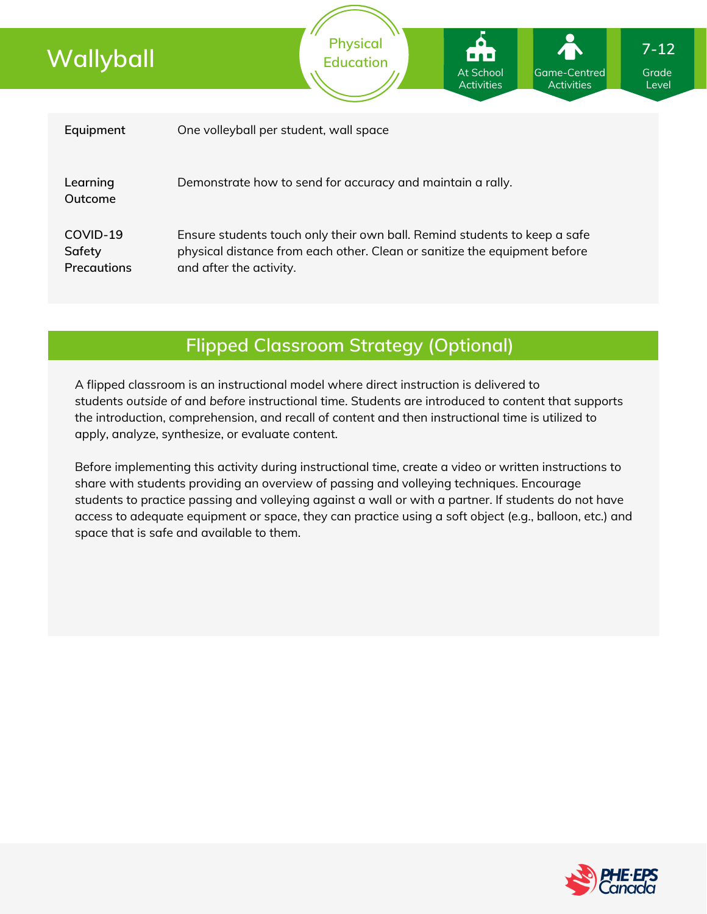| Wallyball                         | <b>Physical</b><br>ional<br><b>Education</b><br>At School<br>Game-Centred<br><b>Activities</b><br><b>Activities</b>                                                               | $7 - 12$<br>Grade<br>Level |
|-----------------------------------|-----------------------------------------------------------------------------------------------------------------------------------------------------------------------------------|----------------------------|
|                                   |                                                                                                                                                                                   |                            |
| Equipment                         | One volleyball per student, wall space                                                                                                                                            |                            |
| Learning<br>Outcome               | Demonstrate how to send for accuracy and maintain a rally.                                                                                                                        |                            |
| COVID-19<br>Safety<br>Precautions | Ensure students touch only their own ball. Remind students to keep a safe<br>physical distance from each other. Clean or sanitize the equipment before<br>and after the activity. |                            |
|                                   |                                                                                                                                                                                   |                            |

# **Flipped Classroom Strategy (Optional)**

A flipped classroom is an instructional model where direct instruction is delivered to students *outside of* and *before* instructional time. Students are introduced to content that supports the introduction, comprehension, and recall of content and then instructional time is utilized to apply, analyze, synthesize, or evaluate content.

Before implementing this activity during instructional time, create a video or written instructions to share with students providing an overview of passing and volleying techniques. Encourage students to practice passing and volleying against a wall or with a partner. If students do not have access to adequate equipment or space, they can practice using a soft object (e.g., balloon, etc.) and space that is safe and available to them.

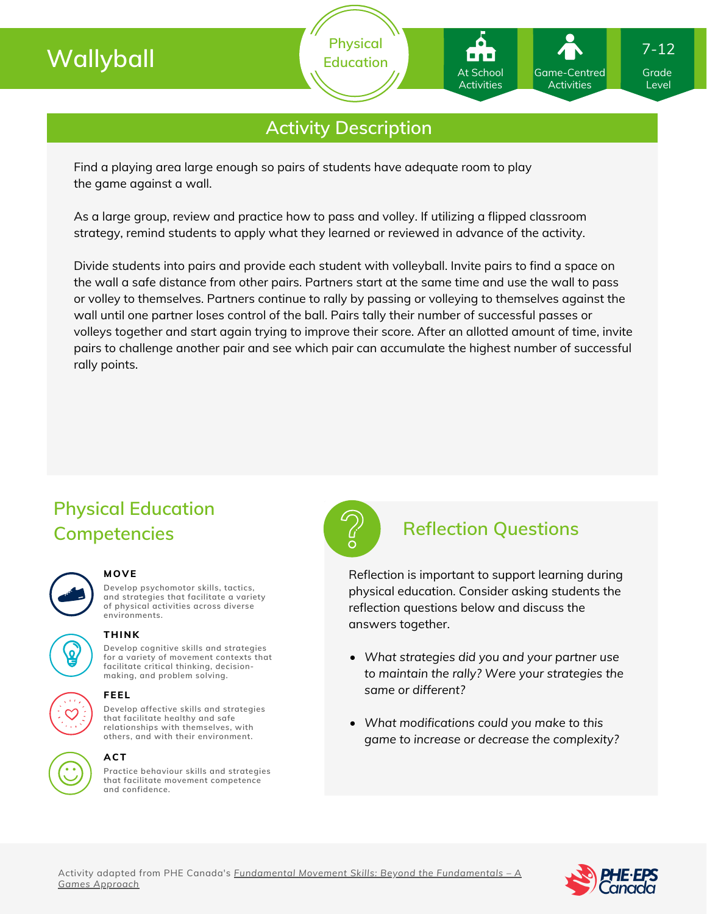# **Wallyball**

**Physical Education**

## **Activity Description**

Find a playing area large enough so pairs of students have adequate room to play the game against a wall.

As a large group, review and practice how to pass and volley. If utilizing a flipped classroom strategy, remind students to apply what they learned or reviewed in advance of the activity.

Divide students into pairs and provide each student with volleyball. Invite pairs to find a space on the wall a safe distance from other pairs. Partners start at the same time and use the wall to pass or volley to themselves. Partners continue to rally by passing or volleying to themselves against the wall until one partner loses control of the ball. Pairs tally their number of successful passes or volleys together and start again trying to improve their score. After an allotted amount of time, invite pairs to challenge another pair and see which pair can accumulate the highest number of successful rally points.

# **Physical Education Competencies Reflection Questions**

### **MOVE**

**Develop psychomotor skills, tactics, and strategies that facilitate a variety of physical activities across diverse environments.**





## **THINK**

**Develop cognitive skills and strategies for a variety of movement contexts that facilitate critical thinking, decision making, and problem solving.**



## **ACT**

**Practice behaviour skills and strategies that facilitate movement competence and confidence.**



Reflection is important to support learning during physical education. Consider asking students the reflection questions below and discuss the answers together.

- *What strategies did you and your partner use to maintain the rally? Were your strategies the same or different?*
- *What modifications could you make to this game to increase or decrease the complexity?*





Grade Level

7-12

Game-Centred Activities

At School Activities